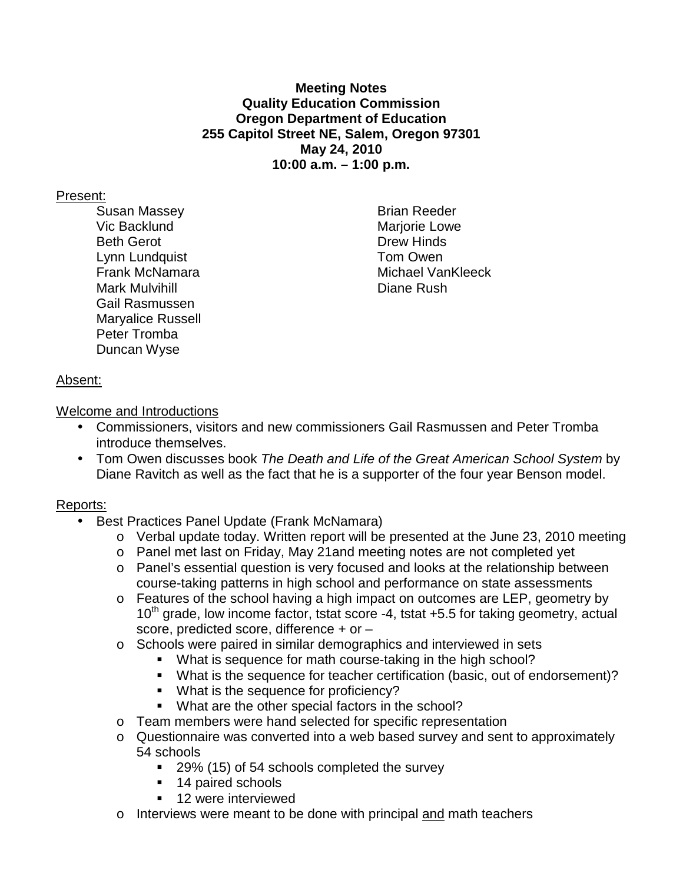### **Meeting Notes Quality Education Commission Oregon Department of Education 255 Capitol Street NE, Salem, Oregon 97301 May 24, 2010 10:00 a.m. – 1:00 p.m.**

### Present:

Susan Massey **Brian Reeder** Brian Reeder Vic Backlund **Mariorie Lowe** Mariorie Lowe Beth Gerot **Drew Hinds** Lynn Lundquist **Tom Owen** Mark Mulvihill **Diane Rush** Gail Rasmussen Maryalice Russell Peter Tromba Duncan Wyse

Frank McNamara Michael VanKleeck

# Absent:

Welcome and Introductions

- Commissioners, visitors and new commissioners Gail Rasmussen and Peter Tromba introduce themselves.
- Tom Owen discusses book The Death and Life of the Great American School System by Diane Ravitch as well as the fact that he is a supporter of the four year Benson model.

# Reports:

- Best Practices Panel Update (Frank McNamara)
	- o Verbal update today. Written report will be presented at the June 23, 2010 meeting
	- o Panel met last on Friday, May 21and meeting notes are not completed yet
	- o Panel's essential question is very focused and looks at the relationship between course-taking patterns in high school and performance on state assessments
	- o Features of the school having a high impact on outcomes are LEP, geometry by  $10<sup>th</sup>$  grade, low income factor, tstat score -4, tstat +5.5 for taking geometry, actual score, predicted score, difference + or –
	- $\circ$  Schools were paired in similar demographics and interviewed in sets
		- What is sequence for math course-taking in the high school?
		- What is the sequence for teacher certification (basic, out of endorsement)?
		- What is the sequence for proficiency?
		- **What are the other special factors in the school?**
	- o Team members were hand selected for specific representation
	- o Questionnaire was converted into a web based survey and sent to approximately 54 schools
		- 29% (15) of 54 schools completed the survey
		- 14 paired schools
		- **12 were interviewed**
	- o Interviews were meant to be done with principal <u>and</u> math teachers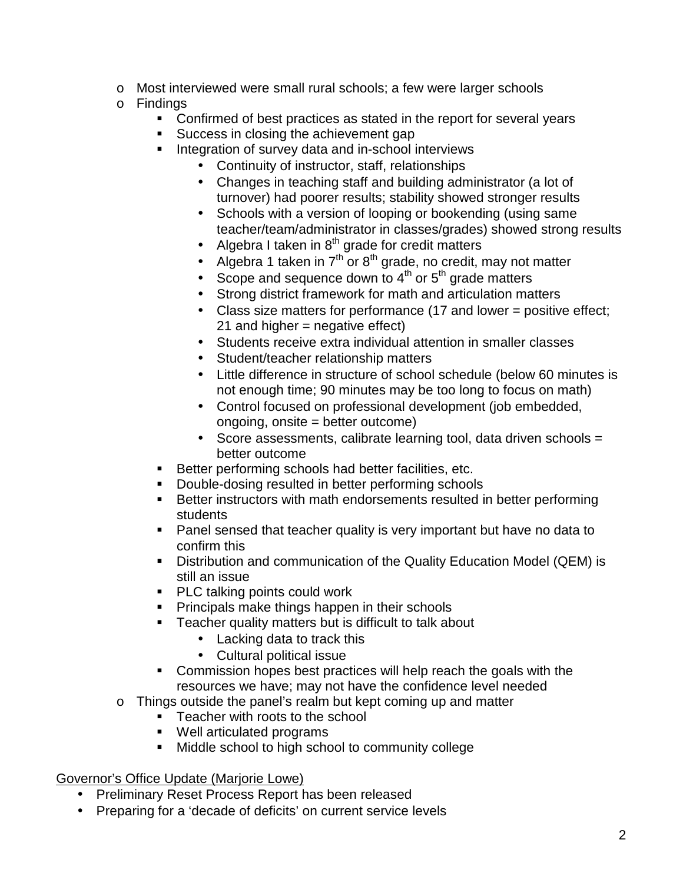- o Most interviewed were small rural schools; a few were larger schools
- o Findings
	- **Confirmed of best practices as stated in the report for several years**
	- Success in closing the achievement gap
	- **Integration of survey data and in-school interviews** 
		- Continuity of instructor, staff, relationships
		- Changes in teaching staff and building administrator (a lot of turnover) had poorer results; stability showed stronger results
		- Schools with a version of looping or bookending (using same teacher/team/administrator in classes/grades) showed strong results
		- Algebra I taken in  $8<sup>th</sup>$  grade for credit matters
		- Algebra 1 taken in 7<sup>th</sup> or 8<sup>th</sup> grade, no credit, may not matter
		- Scope and sequence down to  $4<sup>th</sup>$  or  $5<sup>th</sup>$  grade matters
		- Strong district framework for math and articulation matters
		- Class size matters for performance (17 and lower = positive effect; 21 and higher = negative effect)
		- Students receive extra individual attention in smaller classes
		- Student/teacher relationship matters
		- Little difference in structure of school schedule (below 60 minutes is not enough time; 90 minutes may be too long to focus on math)
		- Control focused on professional development (job embedded, ongoing, onsite = better outcome)
		- Score assessments, calibrate learning tool, data driven schools = better outcome
	- **Better performing schools had better facilities, etc.**
	- **Double-dosing resulted in better performing schools**
	- Better instructors with math endorsements resulted in better performing students
	- **Panel sensed that teacher quality is very important but have no data to** confirm this
	- Distribution and communication of the Quality Education Model (QEM) is still an issue
	- **PLC talking points could work**
	- **Principals make things happen in their schools**
	- **Teacher quality matters but is difficult to talk about** 
		- Lacking data to track this
		- Cultural political issue
	- Commission hopes best practices will help reach the goals with the resources we have; may not have the confidence level needed
- o Things outside the panel's realm but kept coming up and matter
	- **Teacher with roots to the school**
	- Well articulated programs
	- **Middle school to high school to community college**

# Governor's Office Update (Marjorie Lowe)

- Preliminary Reset Process Report has been released
- Preparing for a 'decade of deficits' on current service levels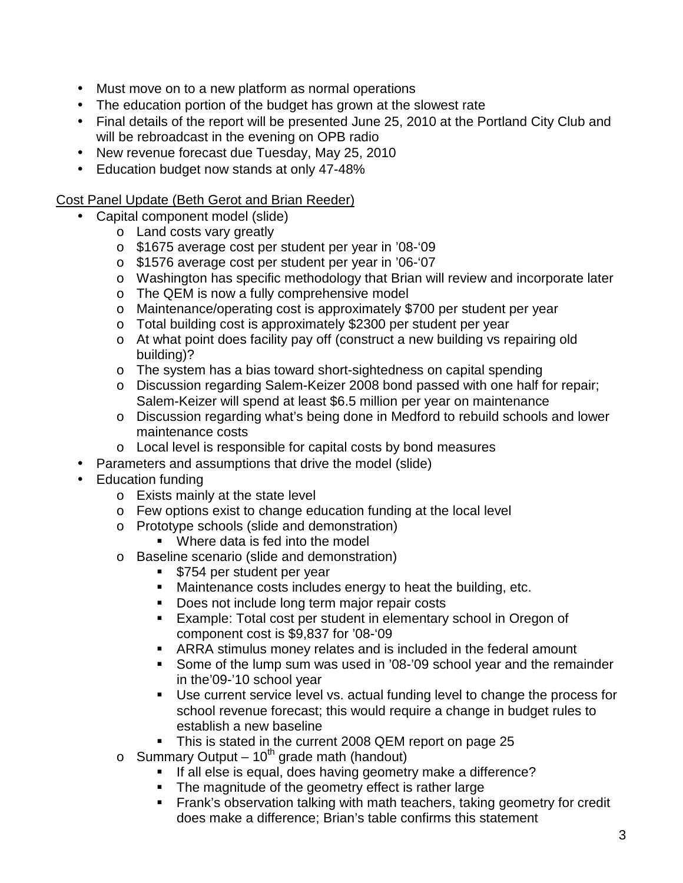- Must move on to a new platform as normal operations
- The education portion of the budget has grown at the slowest rate
- Final details of the report will be presented June 25, 2010 at the Portland City Club and will be rebroadcast in the evening on OPB radio
- New revenue forecast due Tuesday, May 25, 2010
- Education budget now stands at only 47-48%

Cost Panel Update (Beth Gerot and Brian Reeder)

- Capital component model (slide)
	- o Land costs vary greatly
	- o \$1675 average cost per student per year in '08-'09
	- o \$1576 average cost per student per year in '06-'07
	- o Washington has specific methodology that Brian will review and incorporate later
	- o The QEM is now a fully comprehensive model
	- o Maintenance/operating cost is approximately \$700 per student per year
	- o Total building cost is approximately \$2300 per student per year
	- o At what point does facility pay off (construct a new building vs repairing old building)?
	- o The system has a bias toward short-sightedness on capital spending
	- o Discussion regarding Salem-Keizer 2008 bond passed with one half for repair; Salem-Keizer will spend at least \$6.5 million per year on maintenance
	- o Discussion regarding what's being done in Medford to rebuild schools and lower maintenance costs
	- o Local level is responsible for capital costs by bond measures
- Parameters and assumptions that drive the model (slide)
- Education funding
	- o Exists mainly at the state level
	- o Few options exist to change education funding at the local level
	- o Prototype schools (slide and demonstration)
		- **Where data is fed into the model**
	- o Baseline scenario (slide and demonstration)
		- **5754 per student per year**
		- **Maintenance costs includes energy to heat the building, etc.**
		- Does not include long term major repair costs
		- Example: Total cost per student in elementary school in Oregon of component cost is \$9,837 for '08-'09
		- ARRA stimulus money relates and is included in the federal amount
		- Some of the lump sum was used in '08-'09 school year and the remainder in the'09-'10 school year
		- Use current service level vs. actual funding level to change the process for school revenue forecast; this would require a change in budget rules to establish a new baseline
		- This is stated in the current 2008 QEM report on page 25
	- o Summary Output  $10^{th}$  grade math (handout)
		- If all else is equal, does having geometry make a difference?
		- The magnitude of the geometry effect is rather large
		- **Frank's observation talking with math teachers, taking geometry for credit** does make a difference; Brian's table confirms this statement